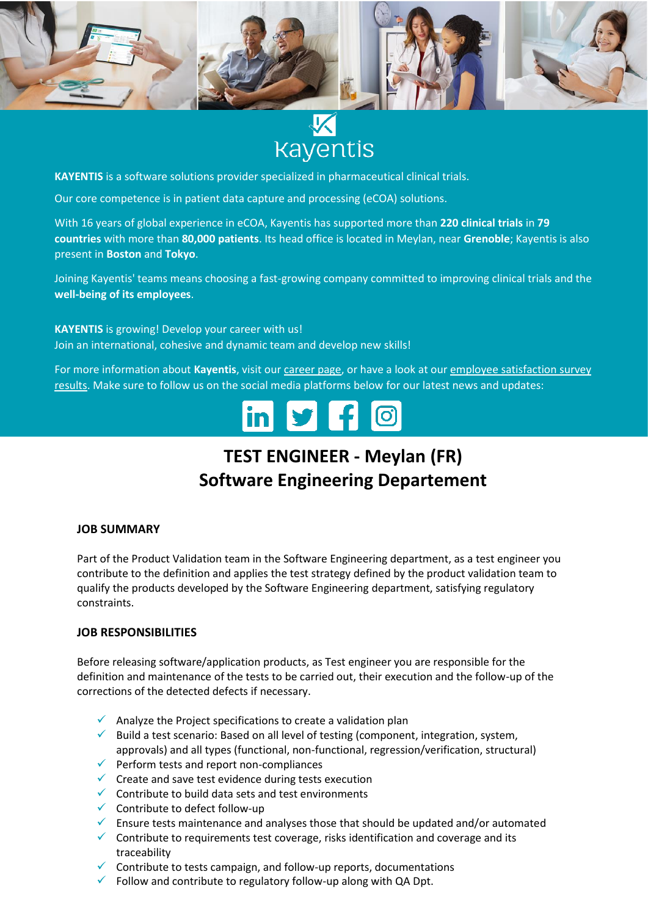

# **Kayentis**

**KAYENTIS** is a software solutions provider specialized in pharmaceutical clinical trials.

Our core competence is in patient data capture and processing (eCOA) solutions.

With 16 years of global experience in eCOA, Kayentis has supported more than **220 clinical trials** in **79 countries** with more than **80,000 patients**. Its head office is located in Meylan, near **Grenoble**; Kayentis is also present in **Boston** and **Tokyo**.

Joining Kayentis' teams means choosing a fast-growing company committed to improving clinical trials and the **well-being of its employees**.

**KAYENTIS** is growing! Develop your career with us! Join an international, cohesive and dynamic team and develop new skills!

For more information about **Kayentis**, visit ou[r career page,](https://kayentis.com/about-us/careers/) or have a look at ou[r employee satisfaction survey](https://kayentis.com/2020-employee-satisfaction-survey/)  [results.](https://kayentis.com/2020-employee-satisfaction-survey/) Make sure to follow us on the social media platforms below for our latest news and updates:

## **TEST ENGINEER - Meylan (FR) Software Engineering Departement**

#### **JOB SUMMARY**

Part of the Product Validation team in the Software Engineering department, as a test engineer you contribute to the definition and applies the test strategy defined by the product validation team to qualify the products developed by the Software Engineering department, satisfying regulatory constraints.

#### **JOB RESPONSIBILITIES**

Before releasing software/application products, as Test engineer you are responsible for the definition and maintenance of the tests to be carried out, their execution and the follow-up of the corrections of the detected defects if necessary.

- $\checkmark$  Analyze the Project specifications to create a validation plan
- $\checkmark$  Build a test scenario: Based on all level of testing (component, integration, system, approvals) and all types (functional, non-functional, regression/verification, structural)
- ✓ Perform tests and report non-compliances
- $\checkmark$  Create and save test evidence during tests execution
- ✓ Contribute to build data sets and test environments
- $\checkmark$  Contribute to defect follow-up
- $\checkmark$  Ensure tests maintenance and analyses those that should be updated and/or automated
- $\checkmark$  Contribute to requirements test coverage, risks identification and coverage and its traceability
- Contribute to tests campaign, and follow-up reports, documentations
- $\checkmark$  Follow and contribute to regulatory follow-up along with QA Dpt.